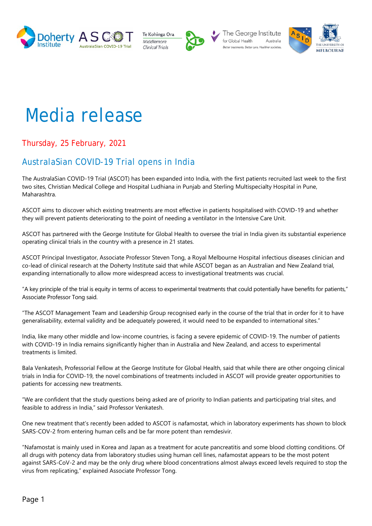





The George Institute for Global Health Australia



# Media release

Thursday, 25 February, 2021

# AustralaSian COVID-19 Trial opens in India

The AustralaSian COVID-19 Trial (ASCOT) has been expanded into India, with the first patients recruited last week to the first two sites, Christian Medical College and Hospital Ludhiana in Punjab and Sterling Multispecialty Hospital in Pune, Maharashtra.

ASCOT aims to discover which existing treatments are most effective in patients hospitalised with COVID-19 and whether they will prevent patients deteriorating to the point of needing a ventilator in the Intensive Care Unit.

ASCOT has partnered with the George Institute for Global Health to oversee the trial in India given its substantial experience operating clinical trials in the country with a presence in 21 states.

ASCOT Principal Investigator, Associate Professor Steven Tong, a Royal Melbourne Hospital infectious diseases clinician and co-lead of clinical research at the Doherty Institute said that while ASCOT began as an Australian and New Zealand trial, expanding internationally to allow more widespread access to investigational treatments was crucial.

"A key principle of the trial is equity in terms of access to experimental treatments that could potentially have benefits for patients," Associate Professor Tong said.

"The ASCOT Management Team and Leadership Group recognised early in the course of the trial that in order for it to have generalisability, external validity and be adequately powered, it would need to be expanded to international sites."

India, like many other middle and low-income countries, is facing a severe epidemic of COVID-19. The number of patients with COVID-19 in India remains significantly higher than in Australia and New Zealand, and access to experimental treatments is limited.

Bala Venkatesh, Professorial Fellow at the George Institute for Global Health, said that while there are other ongoing clinical trials in India for COVID-19, the novel combinations of treatments included in ASCOT will provide greater opportunities to patients for accessing new treatments.

"We are confident that the study questions being asked are of priority to Indian patients and participating trial sites, and feasible to address in India," said Professor Venkatesh.

One new treatment that's recently been added to ASCOT is nafamostat, which in laboratory experiments has shown to block SARS-COV-2 from entering human cells and be far more potent than remdesivir.

"Nafamostat is mainly used in Korea and Japan as a treatment for acute pancreatitis and some blood clotting conditions. Of all drugs with potency data from laboratory studies using human cell lines, nafamostat appears to be the most potent against SARS-CoV-2 and may be the only drug where blood concentrations almost always exceed levels required to stop the virus from replicating," explained Associate Professor Tong.